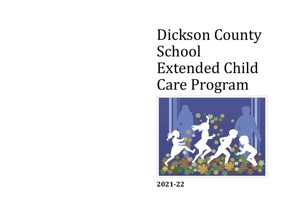Dickson County School Extended Child Care Program



**2021-22**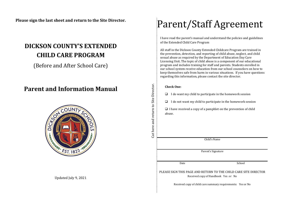**Please sign the last sheet and return to the Site Director.**

# **DICKSON COUNTY'S EXTENDED CHILD CARE PROGRAM**

(Before and After School Care)

# **Parent and Information Manual**



Updated July 9, 2021

Parent/Staff Agreement

I have read the parent's manual and understand the policies and guidelines of the Extended Child Care Program

All staff in the Dickson County Extended Childcare Program are trained in the prevention, detection, and reporting of child abuse, neglect, and child sexual abuse as required by the Department of Education Day Care Licensing Unit. The topic of child abuse is a component of our educational program and includes training for staff and parents. Students enrolled in our school system receive education from our school counselors on how to keep themselves safe from harm in various situations. If you have questions regarding this information, please contact the site director.

#### **Check One:**

Cut here and return to Site Director. Cut here and return to Site Director.

- $\Box$  I do want my child to participate in the homework session
- $\Box$  I do not want my child to participate in the homework session

 $\Box$  I have received a copy of a pamphlet on the prevention of child abuse.

Child's Name

Parent's Signature

Date School

PLEASE SIGN THIS PAGE AND RETURN TO THE CHILD CARE SITE DIRECTOR Received copy of Handbook Yes or No

Received copy of child care summary requirements: Yes or No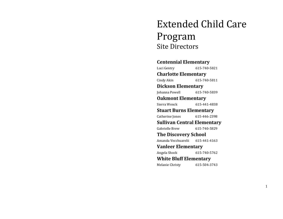# Extended Child Care Program Site Directors

# **Centennial Elementary** Luci Gentry 615-740-5821 **Charlotte Elementary** Cindy Akin 615-740-5811 **Dickson Elementary** Johanna Powell 615-740-5839 **Oakmont Elementary** Sierra Wenck 615-441-4838 **Stuart Burns Elementary** Catherine Jones 615-446-2398 **Sullivan Central Elementary**  Gabrielle Brew 615-740-5829 **The Discovery School** Amanda Vecchuarelii 615-441-4163 **Vanleer Elementary** Angela Shock 615-740-5762 **White Bluff Elementary** Melanie Christy 615-504-3743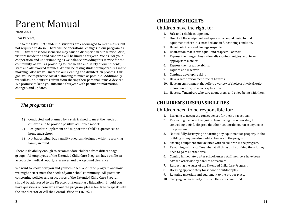# Parent Manual

2020-2021

#### Dear Parents,

Due to the COVID 19 pandemic, students are encouraged to wear masks, but not required to do so. There will be operational changes in our program as well. Different school scenarios may cause a disruption in our service. Also, visitors inside the child care area will be limited this year. We ask for your cooperation and understanding as we balance providing this service for the community, as well as providing for the health and safety of our students, staff, and all involved families. We will be taking student temperatures in the morning. Also we will increase our cleaning and disinfection process. Our goal will be to practice social distancing as much as possible. Additionally, we will ask students to refrain from sharing their personal items & devices. We promise to keep you informed this year with pertinent information, changes, and updates.

## *The program is:*

- 1) Conducted and planned by a staff trained to meet the needs of children and to provide positive adult role models.
- 2) Designed to supplement and support the child's experiences at home and school.
- 3) Not babysitting, but a quality program designed with the working family in mind.

There is flexibility enough to accommodate children from different age groups. All employees of the Extended Child Care Program have on file an acceptable medical report, references and background clearance.

We want to know how you and your child feel about the program and how we might better meet the needs of your school community. All questions concerning policies and procedures of the Extended Child Care Program should be addressed to the Director of Elementary Education. Should you have questions or concerns about the program, please feel free to speak with the site director or call the Central Office at 446-7571.

# **CHILDREN'S RIGHTS**

# Children have the right to:

- 1. Safe and reliable equipment.
- 2. Use of all the equipment and space on an equal basis; to find equipment where it is intended and in functioning condition.
- 3. Have their ideas and feelings respected.
- 4. Redirection that is fair, equal, and respectful of them.
- 5. Express their anger, frustration, disappointment, joy, etc., in an appropriate manner.
- 6. Express their creative ability.
- 7. Explore and discover.
- 8. Continue developing skills.
- 9. Have a safe environment free of hazards.
- 10. Have an environment that offers a variety of choices: physical, quiet, indoor, outdoor, creative, exploration.
- 11. Have staff members who care about them, and enjoy being with them.

## **CHILDREN'S RESPONSIBILITIES**

### Children need to be responsible for:

- 1. Learning to accept the consequences for their own actions.
- 2. Respecting the rules that guide them during the school day; for controlling their feelings so that their actions do not harm anyone in the program.
- 3. Not willfully destroying or harming any equipment or property in the building or anyone else's while they are in the program.
- 4. Sharing equipment and facilities with all children in the program.
- 5. Remaining with a staff member at all times and notifying them it they need to go to another area.
- 6. Coming immediately after school, unless staff members have been advised otherwise by parents or teachers.
- 7. Respecting the rules of the Extended Child Care Program.
- 8. Dressing appropriately for indoor or outdoor play.
- 9. Retuning materials and equipment to the proper place.
- 10. Carrying out an activity to which they are committed.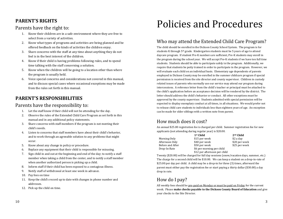# **PARENT'S RIGHTS**

## Parents have the right to:

- 1. Know their children are in a safe environment where they are free to select from a variety of activities.
- 2. Know what types of programs and activities are being planned and be offered feedback on the kinds of activities the children enjoy.
- 3. Share concerns with the staff at any time about anything they do not feel is in the best interest of the children.
- 4. Know if their child is having problems following rules, and to spend time talking with the staff concerning a solution.
- 5. Know when the children will be going to a location other than where the program is usually held.
- 6. Voice special concerns and considerations not covered in this manual, and to discuss special cases where occasional exceptions may be made from the rules set forth in this manual.

# **PARENT'S RESPONSIBILITIES**

## Parents have the responsibility to:

- 1. Let the staff know if their child will not be attending for the day.
- 2. Observe the rules of the Extended Child Care Program as set forth in this manual and in any additional policy statements.
- 3. Share concerns with staff members if the program is not meeting their child's needs.
- 4. Listen to concerns that staff members have about their child's behavior, and to work through an agreeable solution to any problems that might occur.
- 5. Know about any change in policy or procedure.
- 6. Replace any equipment that their child is responsible for misusing.
- 7. Sign child in and out at the beginning and end of the day; to notify a staff member when taking a child from the center, and to notify a staff member when another authorized person is picking up a child.
- 8. Inform staff if their child has been exposed to a contagious illness.
- 9. Notify staff of withdrawal at least one week in advance.
- 10. Pay fees on time
- 11. Keep the child's record up to date with changes in phone number and addresses.
- 12. Pick up the child on time.

# Policies and Procedures

# Who may attend the Extended Child Care Program?

The child should be enrolled in the Dickson County School System. The program is for students K through 5th grade. Kindergarten students must be 5 years of age to attend daycare program. If student Pre-K numbers are sufficient, Pre-K students may enroll in the program during the school year. We will accept Pre-K students if we have ten full time students. Students should be able to participate safely in the program. Additionally, we require that students be potty trained in order to participate in the program. However, we will evaluate each child on an individual basis. Elementary age dependents of parents employed in Dickson County may be enrolled in the summer childcare program if special permission is received from the site director and county supervisor. Children in custody related issues of parents who normally use our service may attend our program during intercessions. A reference letter from the child's teacher or principal must be attached to the child's application before an acceptance decision will be rendered by the district. The letter should address the child's behavior or conduct. All other exceptions must be approved by the county supervisor. Students admitted with special permission will be expected to display exemplary conduct at all times, in all situations. We would prefer not to release child care students to individuals less than eighteen years of age. An exception can be made for older siblings with a written note from parent.

# How much does it cost?

An annual \$25.00 registration fee is charged per child. Summer registration fee for new applicants (not attending during regular year) is \$20.00.

|                  | 1 <sup>st</sup> Child        | 2 <sup>nd</sup> Child |
|------------------|------------------------------|-----------------------|
| Morning Only     | \$15 per week                | \$2 a day             |
| Afternoon Only   | \$40 per week                | \$20 per week         |
| Before and After | \$50 per week                | \$25 per week         |
| Drop-In-Rate     | \$6 per morning per child    |                       |
|                  | \$12 per afternoon per child |                       |

Twenty (\$20.00) will be charged for full day sessions (snow/vacation days, summer, etc.) The charge for a second child will be \$10.00. We can keep a student on a drop-in-rate of \$25.00 per day per child. A child may be a drop-in for three (3) times, afterward the parent must either pay the registration fee or start paying a thirty dollar (\$30.00) a day drop in rate.

# How do I pay?

All weekly fees should be pre-paid on Monday or must be paid on Friday for the current week. Please **make checks payable to the Dickson County Board of Education** and give your checks to the Site Director.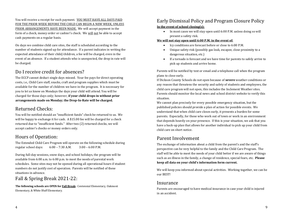You will receive a receipt for each payment. YOU MUST HAVE ALL DAYS PAID FOR THE PRIOR WEEK BEFORE THE CHILD CAN BEGIN A NEW WEEK, UNLESS PRIOR ARRANGEMENTS HAVE BEEN MADE. We will accept payment in the form of a check, money order or cashier's check. We will not be able to accept cash payments on a regular basis.

On days we combine child care sites, the staff is scheduled according to the number of students signed up for attendance. If a parent indicates in writing the expected attendance of their child/children, a fee will be charged, even in the event of an absence. If a student attends who is unexpected, the drop in rate will be charged.

### Do I receive credit for absences?

The ECCP cannot deduct single days missed. Your fee pays for direct operating costs, i.e., Child Care staff, snacks, craft and program supplies which must be available for the number of children we have in the program. It is necessary for you to let us know on Mondays the days your child will attend. You will be charged for those days only; however, **if your child drops in without prior arrangements made on Monday; the Drop-In-Rate will be charged.**

## Returned Checks:

You will be notified should an "insufficient funds" check be returned to us. We will be happy to exchange it for cash. A \$15.00 fee will be charged for a check returned due to "insufficient funds." After two (2) returned checks, we will accept cashier's checks or money orders only.

# Hours of Operation:

The Extended Child Care Program will operate on the following schedule during regular school days: 6:00 – 7:30 A.M. 3:00 – 6:00 P.M.

During full-day sessions, snow days, and school holidays, the program will be available from 6:00 a.m. to 6:00 p.m. to meet the needs of parental work schedules. Some sites may not be opened during all operational hours if student numbers do not justify cost of operation. Parents will be notified of these situations in advance.

Fall & Spring Break 2021-22:

**The following schools are OPEN for Fall Break:** Centennial Elementary, Oakmont Elementary, & White Bluff Elementary.

# Early Dismissal Policy and Program Closure Policy

#### **In the event of school closing(s):**

• In most cases we will stay open until 6:00 P.M. unless doing so will present a safety risk.

#### **We will not stay open until 6:00 P.M. in the event of:**

- Icy conditions are forecast before or close to 6:00 P.M.
- Unique safety risk (possibly gas leak, escapee, close proximity to a dangerous situation, etc.)
- If a tornado is forecast and we have time for parents to safely arrive to pick up students and arrive home.

Parents will be notified by text or email and a telephone call when the program plans to close early.

If Dickson County Schools do not open because of **severe** weather conditions or any reason that threatens the security and safety of students and employees, the child care program will not open, this includes the Inclement Weather sites. Parents should monitor the local news and school district website to verify this situation.

We cannot plan precisely for every possible emergency situation, but the published policies should provide a plan of action for possible events. We understand that when child care closes early, it presents a burden for some parents. Especially, for those who work out of town or work in an environment that depends heavily on your presence. If this is your situation, we ask that you have a back-up plan that allows for another individual to pick up your child from child care on short notice.

# Parent Involvement

The exchange of information about a child from the parent's and the staff's perspective can be very helpful to the family and the Child Care Program. The staff will be able to meet the needs of your child better if we are aware of things such as an illness in the family, a change of residence, special fears, etc. **Please keep all data on your child's information form current.**

We will keep you informed about special activities. Working together, we can be our BEST!

### Insurance

Parents are encouraged to have medical insurance in case your child is injured in an accident.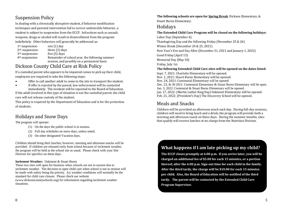# Suspension Policy

In dealing with a chronically disruptive student, if behavior modification techniques and parental intervention fail to correct undesirable behavior, a student is subject to suspension from the ECCP. Infractions such as assault, weapons, drugs or alcohol will result in disenrollment from the program indefinitely. Other behaviors will generally be addressed as:

| $1st$ suspension-           | one (1) day                                    |
|-----------------------------|------------------------------------------------|
| $2nd$ suspension-           | three $(3)$ days                               |
| 3 <sup>rd</sup> suspension- | five $(5)$ days                                |
| 4 <sup>th</sup> suspension- | Remainder of school year, the following summer |
|                             | session, and possibly on a permanent basis.    |

## Dickson County Child Care at Risk Policy

If a custodial parent who appears to be impaired comes to pick up their child, employees are required to take the following steps:

- Offer to call another adult to come to the site to transport the student.
- If offer is rejected by the parent, law enforcement will be contacted immediately. The incident will be reported to the Board of Education.

If the adult involved in this type of situation is not the custodial parent, the child care will not release custody of the student.

This policy is required by the Department of Education and is for the protection of students.

## Holidays and Snow Days

The program will operate:

- (1) On the days the public school is in session.
- (2) Full day schedules on snow days, unless noted.
- (3) On other designated Vacation days.

Children should bring their lunches; however, morning and afternoon snacks will be provided. If children are released early from school because of inclement weather, the program will be held at the school site as usual. Please check with your Site Director for specifics on these days.

#### **Inclement Weather:** Oakmont & Stuart Burns

These two sites will open for business when schools are not in session due to inclement weather. The decision to open child care when school is not in session will be made with safety being the priority. Icy weather conditions will normally be the standard for child care closure. Please check our website

(www.dicksoncountyschools.org) for information regarding inclement weather situations.

**The following schools are open for Spring Break**: Dickson Elementary, & Stuart Burns Elementary.

## Holidays

#### **The Extended Child Care Program will be closed on the following holidays:**

Labor Day (September 6) Thanksgiving Day and the following Friday (November 25 & 26) Winter Break (December 24 & 25, 2021) New Year's Eve and Day After (December 31, 2021 and January 1, 2022) Good Friday (April 15) Memorial Day (May 30) Friday, July 1st **The following Extended Child Care sites will be opened on the dates listed:** Sept. 7, 2021: Charlotte Elementary will be opened. Nov. 1, 2021: Stuart Burns Elementary will be opened. Nov. 24, 2021: Centennial Elementary will be opened. Dec. 23, & 30 2021: Centennial Elementary & Stuart Burns Elementary will be open. Jan. 3, 2022: Centennial & Stuart Burns Elementary will be opened.

Jan. 17, 2022: (Martin Luther King Day) Oakmont Elementary will be opened. Feb. 21, 2022: (President's Day) The Discovery School will be opened.

# Meals and Snacks

Children will be provided an afternoon snack each day. During full-day sessions, children will need to bring lunch and a drink; the program will provide both a morning and afternoon snack on these days. During the summer months, sites that qualify will receive lunches at no charge from the Nutrition Division.

# **What happens if I am late picking up my child?**

**The ECCP closes promptly at 6:00 p.m. If you arrive later, you will be charged an additional fee of \$5.00 for each 15 minutes, or a portion thereof, after the 6:00 p.m. Sign-out time for each child in the family. After the third tardy, the charge will be \$10.00 for each 15 minutes per child. Also, the Board of Education will be notified of the third tardy. The parent will be contacted by the Extended Child Care Program Supervisor.** 

of Education will be notified of the third tardy. The parent will be contacted